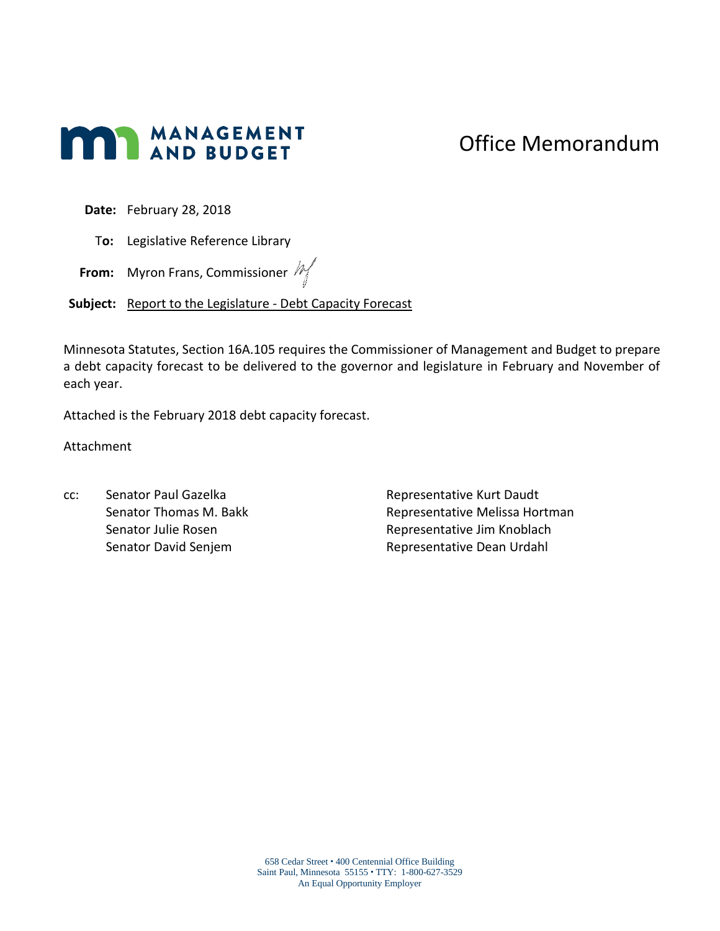# **MANAGEMENT**

## Office Memorandum

**Date:** February 28, 2018

T**o:** Legislative Reference Library

**From:** Myron Frans, Commissioner  $M$ 

Subject: Report to the Legislature - Debt Capacity Forecast

Minnesota Statutes, Section 16A.105 requires the Commissioner of Management and Budget to prepare a debt capacity forecast to be delivered to the governor and legislature in February and November of each year.

Attached is the February 2018 debt capacity forecast.

Attachment

cc: Senator Paul Gazelka Senator Thomas M. Bakk Senator Julie Rosen Senator David Senjem

Representative Kurt Daudt Representative Melissa Hortman Representative Jim Knoblach Representative Dean Urdahl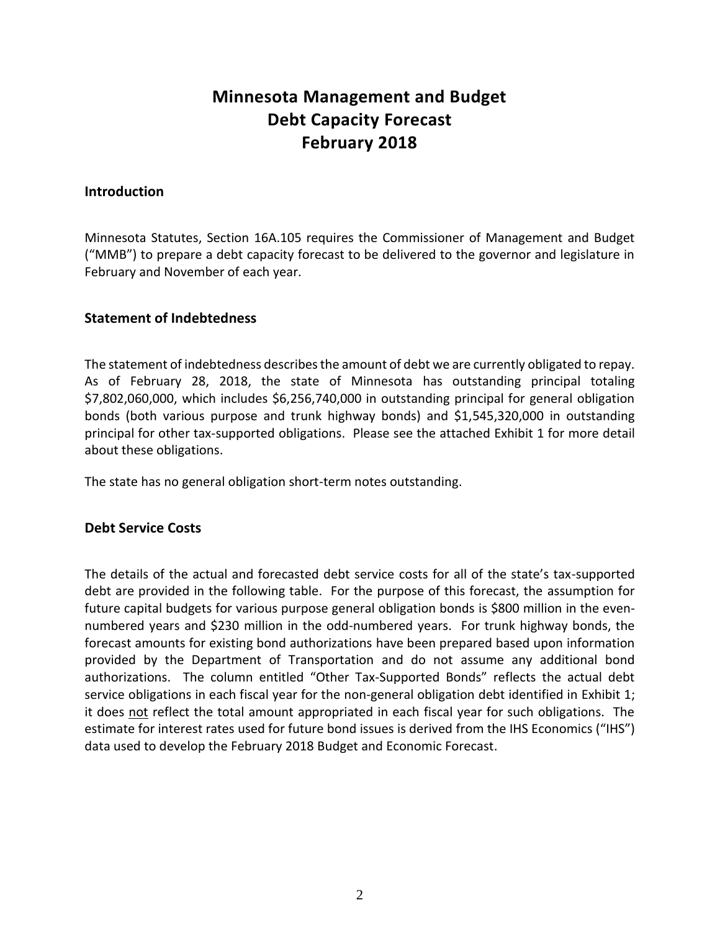### **Minnesota Management and Budget Debt Capacity Forecast February 2018**

#### **Introduction**

Minnesota Statutes, Section 16A.105 requires the Commissioner of Management and Budget ("MMB") to prepare a debt capacity forecast to be delivered to the governor and legislature in February and November of each year.

#### **Statement of Indebtedness**

The statement of indebtedness describes the amount of debt we are currently obligated to repay. As of February 28, 2018, the state of Minnesota has outstanding principal totaling \$7,802,060,000, which includes \$6,256,740,000 in outstanding principal for general obligation bonds (both various purpose and trunk highway bonds) and \$1,545,320,000 in outstanding principal for other tax-supported obligations. Please see the attached Exhibit 1 for more detail about these obligations.

The state has no general obligation short-term notes outstanding.

#### **Debt Service Costs**

The details of the actual and forecasted debt service costs for all of the state's tax-supported debt are provided in the following table. For the purpose of this forecast, the assumption for future capital budgets for various purpose general obligation bonds is \$800 million in the evennumbered years and \$230 million in the odd-numbered years. For trunk highway bonds, the forecast amounts for existing bond authorizations have been prepared based upon information provided by the Department of Transportation and do not assume any additional bond authorizations. The column entitled "Other Tax-Supported Bonds" reflects the actual debt service obligations in each fiscal year for the non-general obligation debt identified in Exhibit 1; it does not reflect the total amount appropriated in each fiscal year for such obligations. The estimate for interest rates used for future bond issues is derived from the IHS Economics ("IHS") data used to develop the February 2018 Budget and Economic Forecast.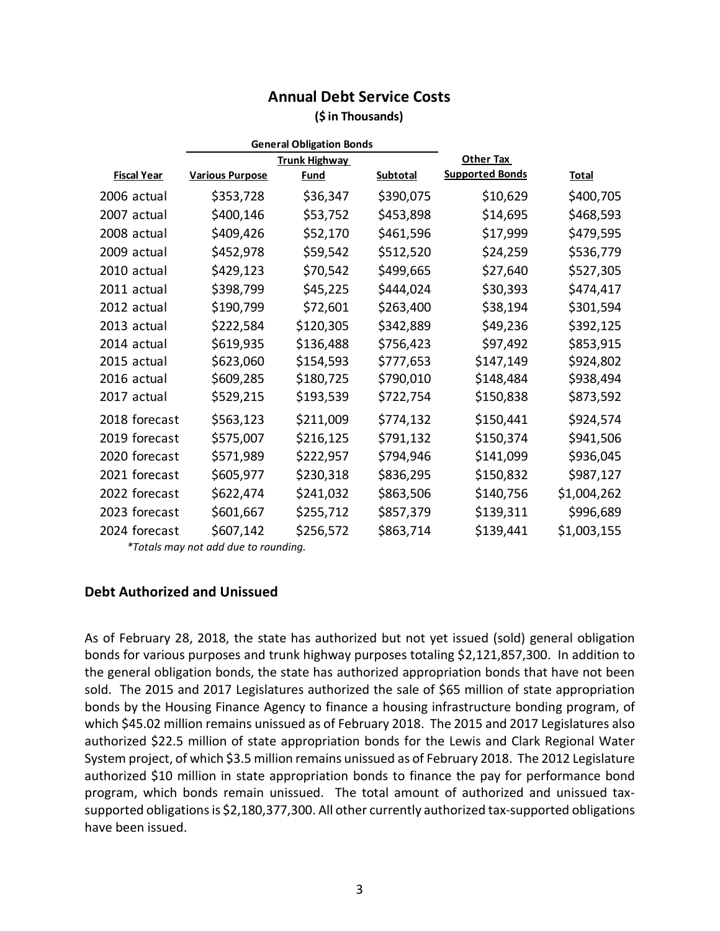#### **Annual Debt Service Costs (\$ in Thousands)**

|                    | <b>General Obligation Bonds</b> |             |           |                        |             |
|--------------------|---------------------------------|-------------|-----------|------------------------|-------------|
|                    | <b>Trunk Highway</b>            |             |           | Other Tax              |             |
| <b>Fiscal Year</b> | <b>Various Purpose</b>          | <b>Fund</b> | Subtotal  | <b>Supported Bonds</b> | Total       |
| 2006 actual        | \$353,728                       | \$36,347    | \$390,075 | \$10,629               | \$400,705   |
| 2007 actual        | \$400,146                       | \$53,752    | \$453,898 | \$14,695               | \$468,593   |
| 2008 actual        | \$409,426                       | \$52,170    | \$461,596 | \$17,999               | \$479,595   |
| 2009 actual        | \$452,978                       | \$59,542    | \$512,520 | \$24,259               | \$536,779   |
| 2010 actual        | \$429,123                       | \$70,542    | \$499,665 | \$27,640               | \$527,305   |
| 2011 actual        | \$398,799                       | \$45,225    | \$444,024 | \$30,393               | \$474,417   |
| 2012 actual        | \$190,799                       | \$72,601    | \$263,400 | \$38,194               | \$301,594   |
| 2013 actual        | \$222,584                       | \$120,305   | \$342,889 | \$49,236               | \$392,125   |
| 2014 actual        | \$619,935                       | \$136,488   | \$756,423 | \$97,492               | \$853,915   |
| 2015 actual        | \$623,060                       | \$154,593   | \$777,653 | \$147,149              | \$924,802   |
| 2016 actual        | \$609,285                       | \$180,725   | \$790,010 | \$148,484              | \$938,494   |
| 2017 actual        | \$529,215                       | \$193,539   | \$722,754 | \$150,838              | \$873,592   |
| 2018 forecast      | \$563,123                       | \$211,009   | \$774,132 | \$150,441              | \$924,574   |
| 2019 forecast      | \$575,007                       | \$216,125   | \$791,132 | \$150,374              | \$941,506   |
| 2020 forecast      | \$571,989                       | \$222,957   | \$794,946 | \$141,099              | \$936,045   |
| 2021 forecast      | \$605,977                       | \$230,318   | \$836,295 | \$150,832              | \$987,127   |
| 2022 forecast      | \$622,474                       | \$241,032   | \$863,506 | \$140,756              | \$1,004,262 |
| 2023 forecast      | \$601,667                       | \$255,712   | \$857,379 | \$139,311              | \$996,689   |
| 2024 forecast      | \$607,142                       | \$256,572   | \$863,714 | \$139,441              | \$1,003,155 |
| $*$ $    -$        |                                 |             |           |                        |             |

*\*Totals may not add due to rounding.*

#### **Debt Authorized and Unissued**

As of February 28, 2018, the state has authorized but not yet issued (sold) general obligation bonds for various purposes and trunk highway purposes totaling \$2,121,857,300. In addition to the general obligation bonds, the state has authorized appropriation bonds that have not been sold. The 2015 and 2017 Legislatures authorized the sale of \$65 million of state appropriation bonds by the Housing Finance Agency to finance a housing infrastructure bonding program, of which \$45.02 million remains unissued as of February 2018. The 2015 and 2017 Legislatures also authorized \$22.5 million of state appropriation bonds for the Lewis and Clark Regional Water System project, of which \$3.5 million remains unissued as of February 2018. The 2012 Legislature authorized \$10 million in state appropriation bonds to finance the pay for performance bond program, which bonds remain unissued. The total amount of authorized and unissued taxsupported obligations is \$2,180,377,300. All other currently authorized tax-supported obligations have been issued.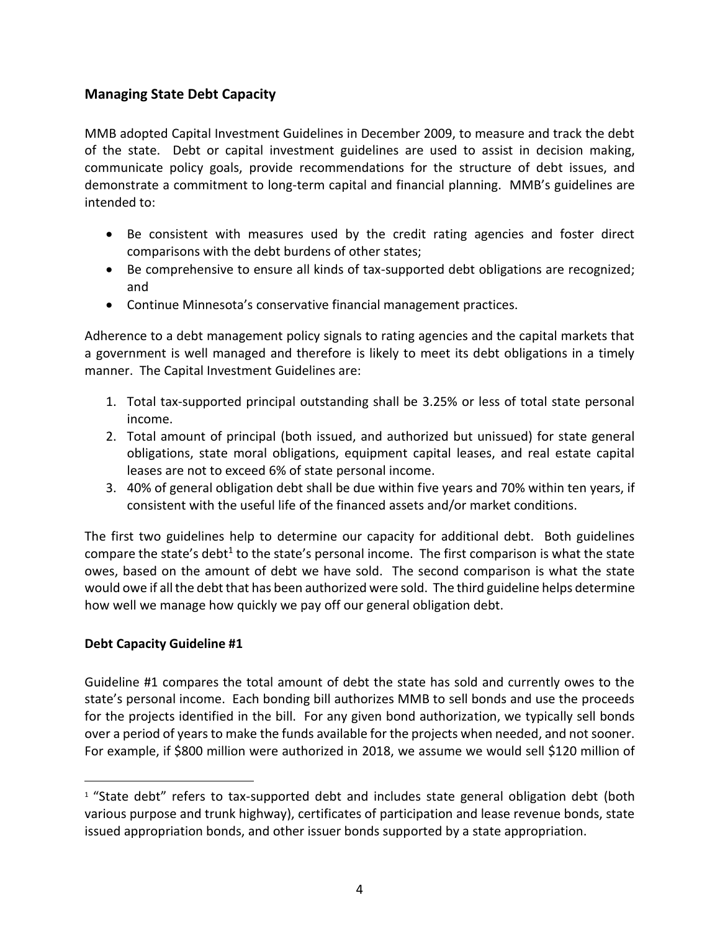#### **Managing State Debt Capacity**

MMB adopted Capital Investment Guidelines in December 2009, to measure and track the debt of the state. Debt or capital investment guidelines are used to assist in decision making, communicate policy goals, provide recommendations for the structure of debt issues, and demonstrate a commitment to long-term capital and financial planning. MMB's guidelines are intended to:

- Be consistent with measures used by the credit rating agencies and foster direct comparisons with the debt burdens of other states;
- Be comprehensive to ensure all kinds of tax-supported debt obligations are recognized; and
- Continue Minnesota's conservative financial management practices.

Adherence to a debt management policy signals to rating agencies and the capital markets that a government is well managed and therefore is likely to meet its debt obligations in a timely manner. The Capital Investment Guidelines are:

- 1. Total tax-supported principal outstanding shall be 3.25% or less of total state personal income.
- 2. Total amount of principal (both issued, and authorized but unissued) for state general obligations, state moral obligations, equipment capital leases, and real estate capital leases are not to exceed 6% of state personal income.
- 3. 40% of general obligation debt shall be due within five years and 70% within ten years, if consistent with the useful life of the financed assets and/or market conditions.

The first two guidelines help to determine our capacity for additional debt. Both guidelines compare the state's debt<sup>1</sup> to the state's personal income. The first comparison is what the state owes, based on the amount of debt we have sold. The second comparison is what the state would owe if all the debt that has been authorized were sold. The third guideline helps determine how well we manage how quickly we pay off our general obligation debt.

#### **Debt Capacity Guideline #1**

 $\overline{a}$ 

Guideline #1 compares the total amount of debt the state has sold and currently owes to the state's personal income. Each bonding bill authorizes MMB to sell bonds and use the proceeds for the projects identified in the bill. For any given bond authorization, we typically sell bonds over a period of years to make the funds available for the projects when needed, and not sooner. For example, if \$800 million were authorized in 2018, we assume we would sell \$120 million of

 $1$  "State debt" refers to tax-supported debt and includes state general obligation debt (both various purpose and trunk highway), certificates of participation and lease revenue bonds, state issued appropriation bonds, and other issuer bonds supported by a state appropriation.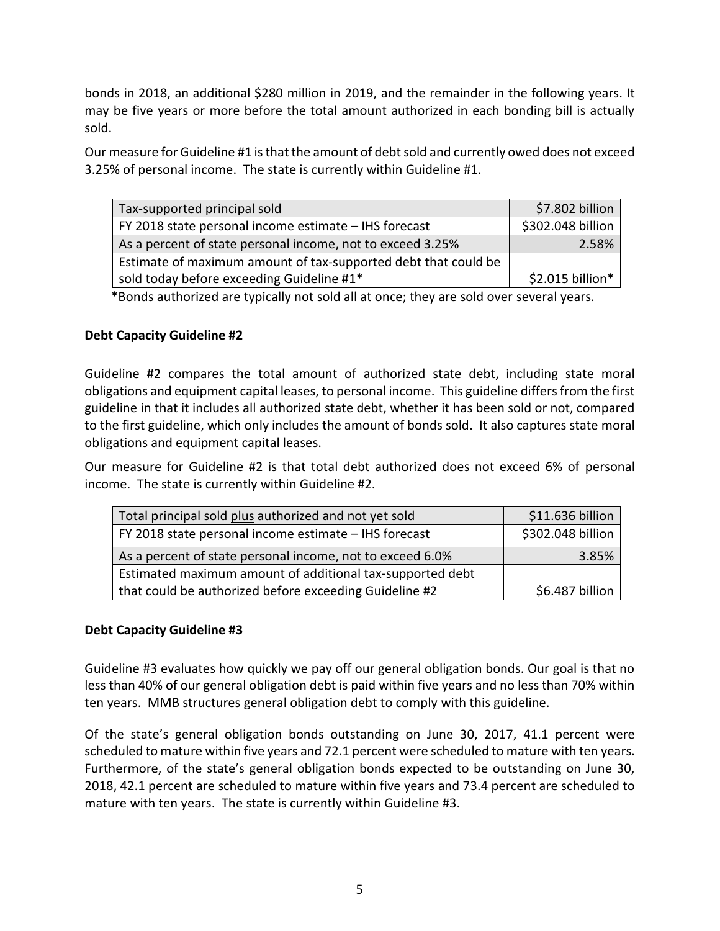bonds in 2018, an additional \$280 million in 2019, and the remainder in the following years. It may be five years or more before the total amount authorized in each bonding bill is actually sold.

Our measure for Guideline #1 is that the amount of debt sold and currently owed does not exceed 3.25% of personal income. The state is currently within Guideline #1.

| Tax-supported principal sold                                   | \$7.802 billion   |
|----------------------------------------------------------------|-------------------|
| FY 2018 state personal income estimate - IHS forecast          | \$302.048 billion |
| As a percent of state personal income, not to exceed 3.25%     | 2.58%             |
| Estimate of maximum amount of tax-supported debt that could be |                   |
| sold today before exceeding Guideline #1*                      | \$2.015 billion*  |

\*Bonds authorized are typically not sold all at once; they are sold over several years.

#### **Debt Capacity Guideline #2**

Guideline #2 compares the total amount of authorized state debt, including state moral obligations and equipment capital leases, to personal income. This guideline differs from the first guideline in that it includes all authorized state debt, whether it has been sold or not, compared to the first guideline, which only includes the amount of bonds sold. It also captures state moral obligations and equipment capital leases.

Our measure for Guideline #2 is that total debt authorized does not exceed 6% of personal income. The state is currently within Guideline #2.

| Total principal sold plus authorized and not yet sold     | \$11.636 billion  |
|-----------------------------------------------------------|-------------------|
| FY 2018 state personal income estimate - IHS forecast     | \$302.048 billion |
| As a percent of state personal income, not to exceed 6.0% | 3.85%             |
| Estimated maximum amount of additional tax-supported debt |                   |
| that could be authorized before exceeding Guideline #2    | \$6.487 billion   |

#### **Debt Capacity Guideline #3**

Guideline #3 evaluates how quickly we pay off our general obligation bonds. Our goal is that no less than 40% of our general obligation debt is paid within five years and no less than 70% within ten years. MMB structures general obligation debt to comply with this guideline.

Of the state's general obligation bonds outstanding on June 30, 2017, 41.1 percent were scheduled to mature within five years and 72.1 percent were scheduled to mature with ten years. Furthermore, of the state's general obligation bonds expected to be outstanding on June 30, 2018, 42.1 percent are scheduled to mature within five years and 73.4 percent are scheduled to mature with ten years. The state is currently within Guideline #3.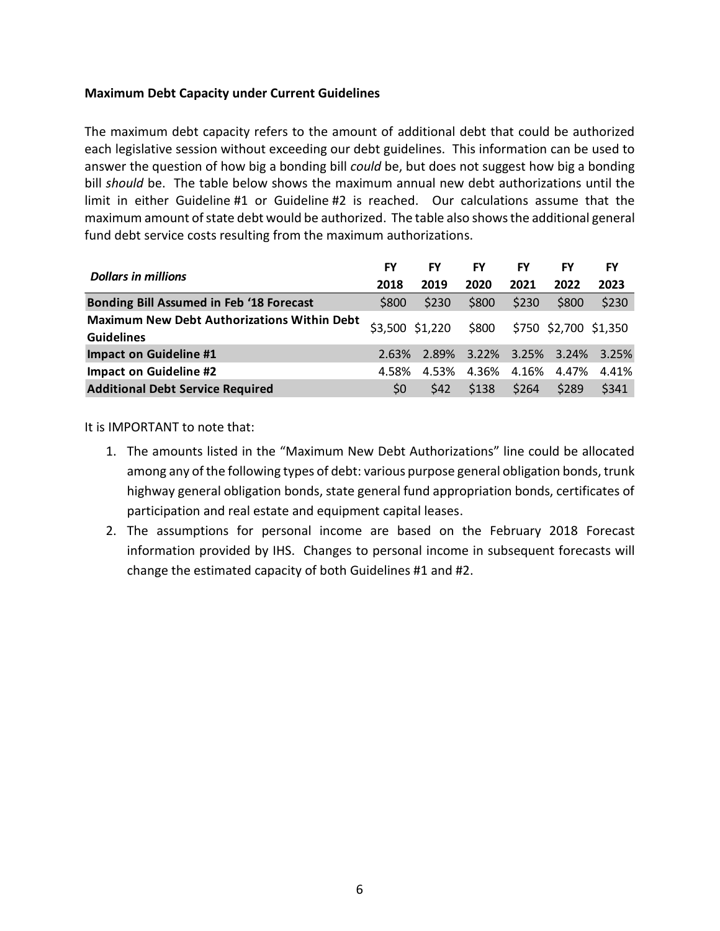#### **Maximum Debt Capacity under Current Guidelines**

The maximum debt capacity refers to the amount of additional debt that could be authorized each legislative session without exceeding our debt guidelines. This information can be used to answer the question of how big a bonding bill *could* be, but does not suggest how big a bonding bill *should* be. The table below shows the maximum annual new debt authorizations until the limit in either Guideline #1 or Guideline #2 is reached. Our calculations assume that the maximum amount of state debt would be authorized. The table also shows the additional general fund debt service costs resulting from the maximum authorizations.

|                                                                         |                | FY              | FY    | <b>FY</b> | FY                    | FY                            |
|-------------------------------------------------------------------------|----------------|-----------------|-------|-----------|-----------------------|-------------------------------|
| <b>Dollars in millions</b>                                              | 2018           | 2019            | 2020  | 2021      | 2022                  | 2023                          |
| <b>Bonding Bill Assumed in Feb '18 Forecast</b>                         | \$800          | \$230           | \$800 | \$230     | \$800                 | \$230                         |
| <b>Maximum New Debt Authorizations Within Debt</b><br><b>Guidelines</b> |                | \$3,500 \$1,220 | \$800 |           | \$750 \$2,700 \$1,350 |                               |
| <b>Impact on Guideline #1</b>                                           | 2.63%          |                 |       |           |                       | 2.89% 3.22% 3.25% 3.24% 3.25% |
| <b>Impact on Guideline #2</b>                                           | 4.58%          | 4.53%           | 4.36% | 4.16%     | 4.47%                 | 4.41%                         |
| <b>Additional Debt Service Required</b>                                 | S <sub>0</sub> | <b>S42</b>      | \$138 | \$264     | \$289                 | \$341                         |

It is IMPORTANT to note that:

- 1. The amounts listed in the "Maximum New Debt Authorizations" line could be allocated among any of the following types of debt: various purpose general obligation bonds, trunk highway general obligation bonds, state general fund appropriation bonds, certificates of participation and real estate and equipment capital leases.
- 2. The assumptions for personal income are based on the February 2018 Forecast information provided by IHS. Changes to personal income in subsequent forecasts will change the estimated capacity of both Guidelines #1 and #2.